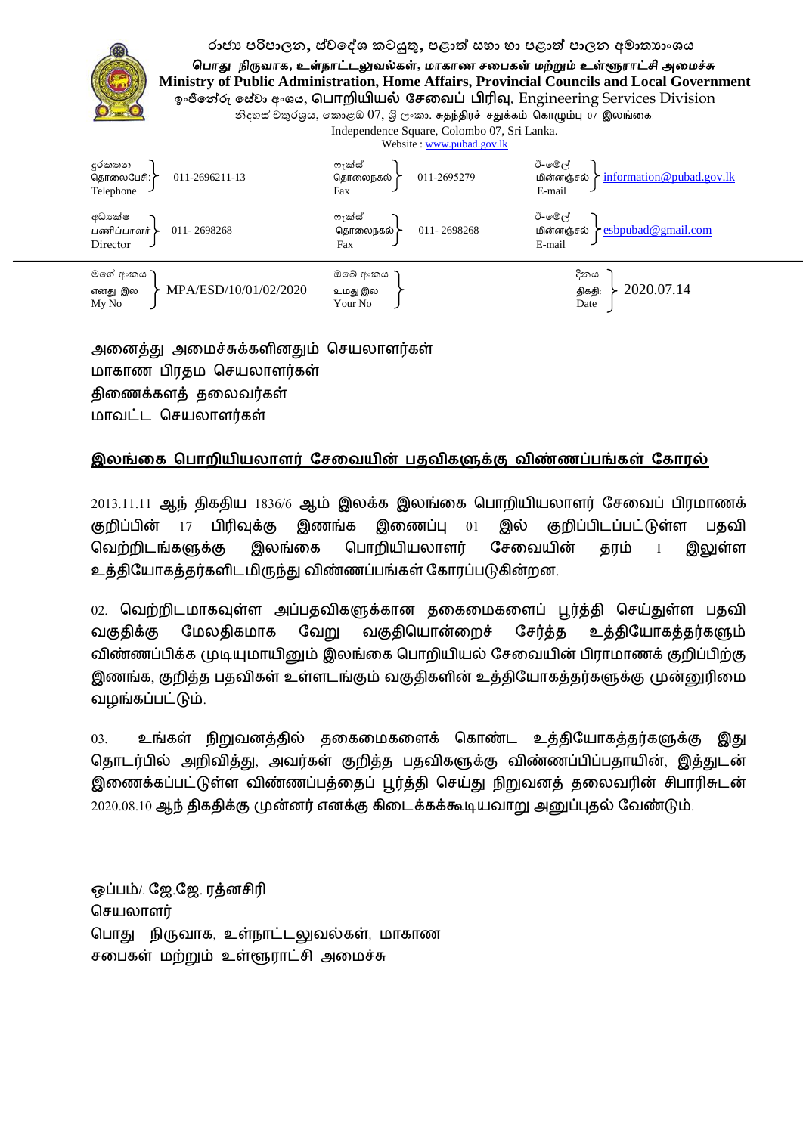රාජා පරිපාලන, ස්ව**දේශ කටයුතු, පළාත් සභා හා පළාත් පාලන අමා**තාාංශය

பொது நிருவாக, உள்நாட்டலுவல்கள், மாகாண சபைகள் மற்றும் உள்ளூராட்சி அமைச்சு  **Ministry of Public Administration, Home Affairs, Provincial Councils and Local Government ඉාංජිේේරු පේ්ේලා පමාංය**, **ப ொறியியல் சேவை ் பிரிவு,** Engineering Services Division

නිදහස් චතුරශුය, කොළඔ  $07$ , ශි ලංකා. சுதந்திரச் சதுக்கம் கொழும்பு 07 இலங்கை.

Independence Square, Colombo 07, Sri Lanka.



அலனத்து அலச்சுக்கரினதும் தசயொரர்கள் மாகாண பிரதம செயலாளர்கள் திணைக்களத் தலைவர்கள் ொலட்ட தசயொரர்கள்

## இலங்கை பொறியியலாளர் சேவையின் பதவிகளுக்கு விண்ணப்பங்கள் கோரல்

 $2013.11.11$  ஆந் திகதிய  $1836/6$  ஆம் இலக்க இலங்கை பொறியியலாளர் சேவைப் பிரமாணக் குறிப்பின்  $17$  பிரிவுக்கு இணங்க இணைப்பு  $01$ இல் குறிப்பிடப்பட்டுள்ள பதவி வெற்றிடங்களுக்கு இலங்கை பொறியியலாளர் சேவையின் தரம் இலுள்ள உத்தியோகத்தர்களிடமிருந்து விண்ணப்பங்கள் கோரப்படுகின்றன.

02. வெற்றிடமாகவுள்ள அப்பதவிகளுக்கான தகைமைகளைப் பூர்த்தி செய்துள்ள பதவி வகுதிக்கு மேலதிகமாக வேறு வகுதியொன்றைச் சேர்த்த உத்தியோகத்தர்களும் விண்ணப்பிக்க முடியுமாயினும் இலங்கை பொறியியல் சேவையின் பிராமாணக் குறிப்பிற்கு இணங்க, குறித்த பதவிகள் உள்ளடங்கும் வகுதிகளின் உத்தியோகத்தர்களுக்கு முன்னுரிமை லறங்கப்பட்டும்

03. உங்கள் நிறுவனத்தில் தகைமைகளைக் கொண்ட உத்தியோகத்தர்களுக்கு இது தொடர்பில் அறிவித்து, அவர்கள் குறித்த பதவிகளுக்கு விண்ணப்பிப்பதாயின், இத்துடன் இணைக்கப்பட்டுள்ள விண்ணப்பத்தைப் பூர்த்தி செய்து நிறுவனத் தலைவரின் சிபாரிசுடன் 2020.08.10 ஆந் திகதிக்கு முன்னர் எனக்கு கிடைக்கக்கூடியவாறு அனுப்புதல் வேண்டும்.

ஒப்பம்/. ஜே.ஜே. ரத்னசிரி செயலாளர் தபொது நிருலொக, உள்நொட்டலுலல்கள், ொகொண சலப௧ள் ற்றும் உள்ளூொட்சி அலச்சு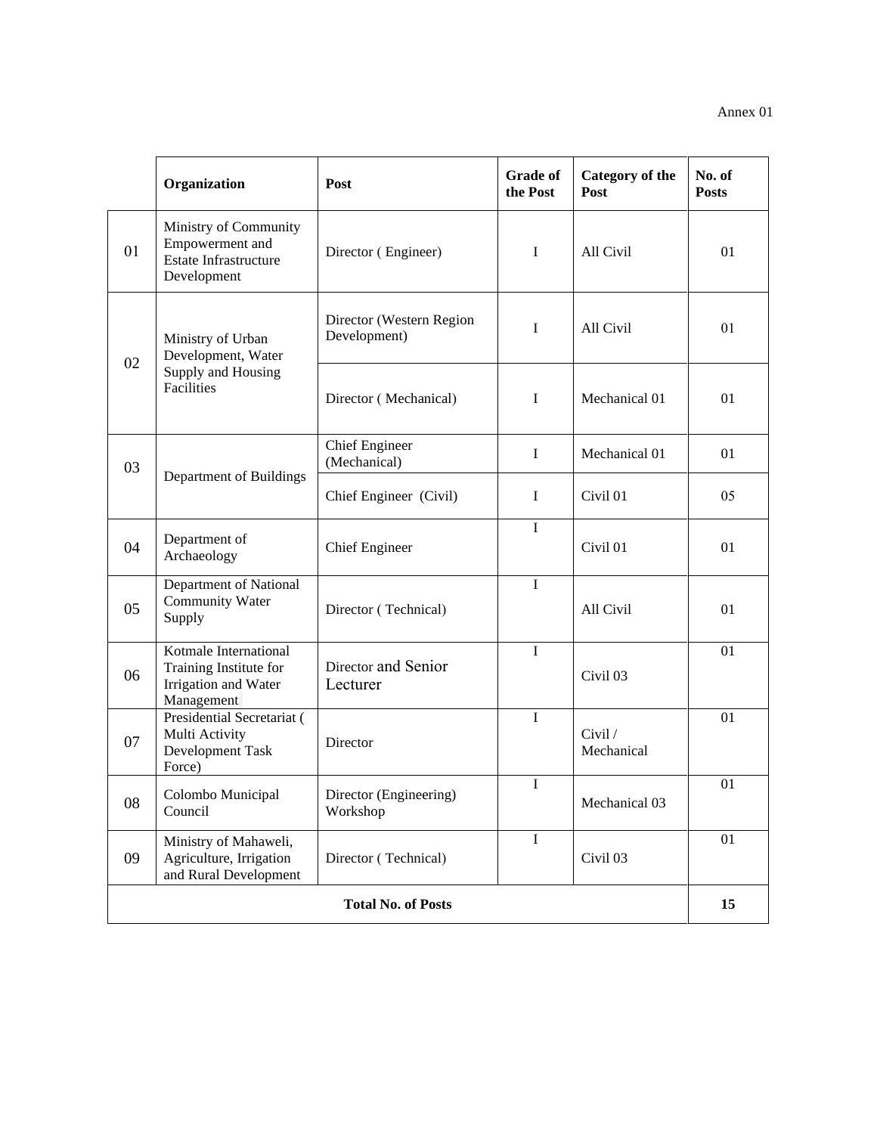|                           | Organization                                                                            | Post                                     | <b>Grade of</b><br>the Post | <b>Category of the</b><br>Post | No. of<br><b>Posts</b> |
|---------------------------|-----------------------------------------------------------------------------------------|------------------------------------------|-----------------------------|--------------------------------|------------------------|
| 01                        | Ministry of Community<br>Empowerment and<br><b>Estate Infrastructure</b><br>Development | Director (Engineer)                      | $\mathbf I$                 | All Civil                      | 01                     |
| 02                        | Ministry of Urban<br>Development, Water<br>Supply and Housing<br>Facilities             | Director (Western Region<br>Development) | I                           | All Civil                      | 01                     |
|                           |                                                                                         | Director (Mechanical)                    | $\mathbf I$                 | Mechanical 01                  | 01                     |
| 03                        | Department of Buildings                                                                 | <b>Chief Engineer</b><br>(Mechanical)    | $\mathbf I$                 | Mechanical 01                  | 01                     |
|                           |                                                                                         | Chief Engineer (Civil)                   | $\mathbf I$                 | Civil 01                       | 05                     |
| 04                        | Department of<br>Archaeology                                                            | <b>Chief Engineer</b>                    | $\bf{I}$                    | Civil 01                       | 01                     |
| 05                        | Department of National<br><b>Community Water</b><br>Supply                              | Director (Technical)                     | $\mathbf I$                 | All Civil                      | 01                     |
| 06                        | Kotmale International<br>Training Institute for<br>Irrigation and Water<br>Management   | Director and Senior<br>Lecturer          | $\mathbf I$                 | Civil <sub>03</sub>            | 01                     |
| 07                        | Presidential Secretariat (<br>Multi Activity<br>Development Task<br>Force)              | Director                                 | $\bf I$                     | Civil /<br>Mechanical          | 01                     |
| 08                        | Colombo Municipal<br>Council                                                            | Director (Engineering)<br>Workshop       | $\bf I$                     | Mechanical 03                  | 01                     |
| 09                        | Ministry of Mahaweli,<br>Agriculture, Irrigation<br>and Rural Development               | Director (Technical)                     | $\mathbf I$                 | Civil 03                       | 01                     |
| <b>Total No. of Posts</b> |                                                                                         |                                          |                             |                                |                        |